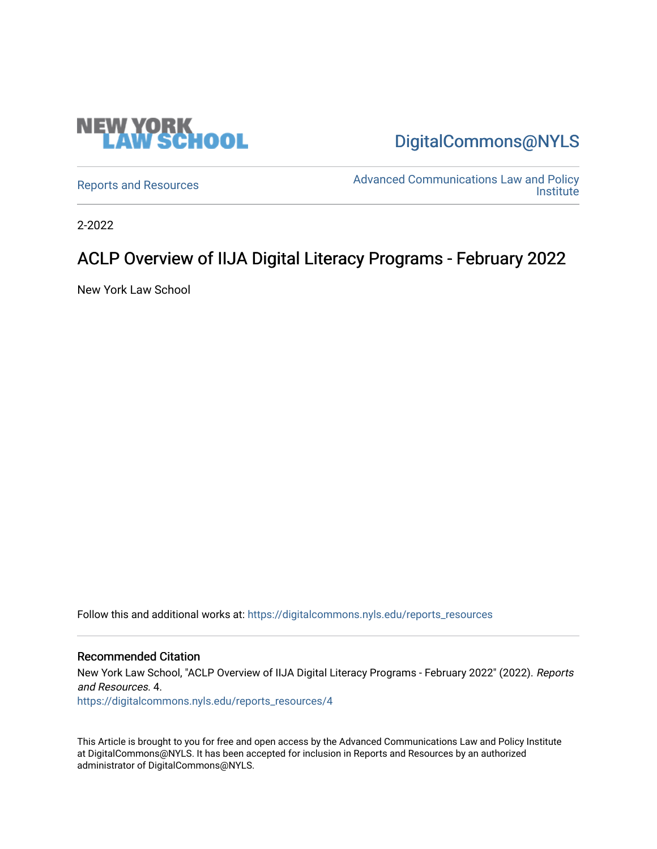

[DigitalCommons@NYLS](https://digitalcommons.nyls.edu/) 

[Reports and Resources](https://digitalcommons.nyls.edu/reports_resources) **Advanced Communications Law and Policy** Reports and Resources **Institute** 

2-2022

# ACLP Overview of IIJA Digital Literacy Programs - February 2022

New York Law School

Follow this and additional works at: [https://digitalcommons.nyls.edu/reports\\_resources](https://digitalcommons.nyls.edu/reports_resources?utm_source=digitalcommons.nyls.edu%2Freports_resources%2F4&utm_medium=PDF&utm_campaign=PDFCoverPages)

#### Recommended Citation

New York Law School, "ACLP Overview of IIJA Digital Literacy Programs - February 2022" (2022). Reports and Resources. 4. [https://digitalcommons.nyls.edu/reports\\_resources/4](https://digitalcommons.nyls.edu/reports_resources/4?utm_source=digitalcommons.nyls.edu%2Freports_resources%2F4&utm_medium=PDF&utm_campaign=PDFCoverPages)

This Article is brought to you for free and open access by the Advanced Communications Law and Policy Institute at DigitalCommons@NYLS. It has been accepted for inclusion in Reports and Resources by an authorized administrator of DigitalCommons@NYLS.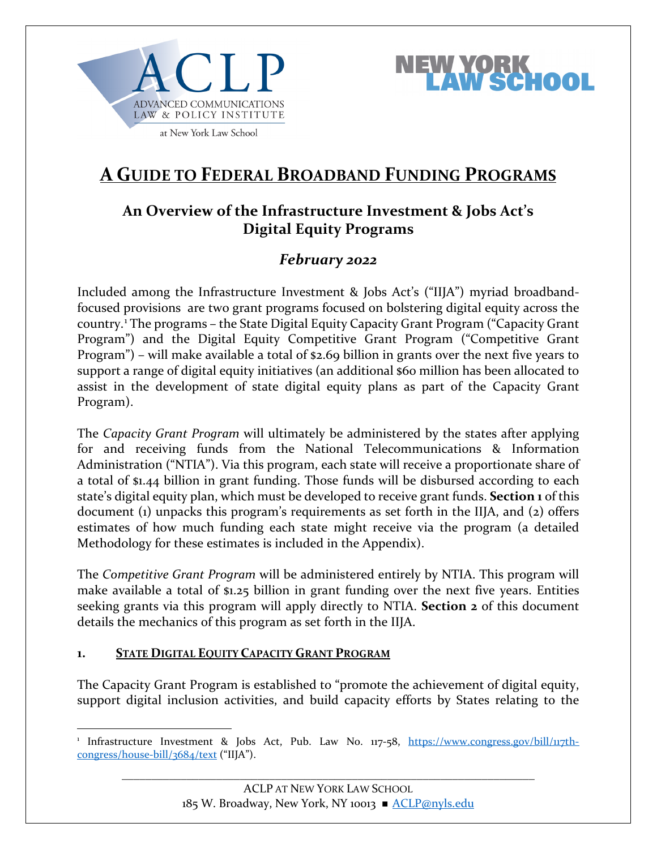

**YORK<br>W SCHOOL** 

at New York Law School

# **A GUIDE TO FEDERAL BROADBAND FUNDING PROGRAMS**

# **An Overview of the Infrastructure Investment & Jobs Act's Digital Equity Programs**

# *February 2022*

Included among the Infrastructure Investment & Jobs Act's ("IIJA") myriad broadbandfocused provisions are two grant programs focused on bolstering digital equity across the country.[1](#page-1-0) The programs – the State Digital Equity Capacity Grant Program ("Capacity Grant Program") and the Digital Equity Competitive Grant Program ("Competitive Grant Program") – will make available a total of \$2.69 billion in grants over the next five years to support a range of digital equity initiatives (an additional \$60 million has been allocated to assist in the development of state digital equity plans as part of the Capacity Grant Program).

The *Capacity Grant Program* will ultimately be administered by the states after applying for and receiving funds from the National Telecommunications & Information Administration ("NTIA"). Via this program, each state will receive a proportionate share of a total of \$1.44 billion in grant funding. Those funds will be disbursed according to each state's digital equity plan, which must be developed to receive grant funds. **Section 1** of this document (1) unpacks this program's requirements as set forth in the IIJA, and (2) offers estimates of how much funding each state might receive via the program (a detailed Methodology for these estimates is included in the Appendix).

The *Competitive Grant Program* will be administered entirely by NTIA. This program will make available a total of \$1.25 billion in grant funding over the next five years. Entities seeking grants via this program will apply directly to NTIA. **Section 2** of this document details the mechanics of this program as set forth in the IIJA.

## **1. STATE DIGITAL EQUITY CAPACITY GRANT PROGRAM**

The Capacity Grant Program is established to "promote the achievement of digital equity, support digital inclusion activities, and build capacity efforts by States relating to the

<span id="page-1-0"></span><sup>&</sup>lt;sup>1</sup> Infrastructure Investment & Jobs Act, Pub. Law No. 117-58, [https://www.congress.gov/bill/117th](https://www.congress.gov/bill/117th-congress/house-bill/3684/text)[congress/house-bill/3684/text](https://www.congress.gov/bill/117th-congress/house-bill/3684/text) ("IIJA").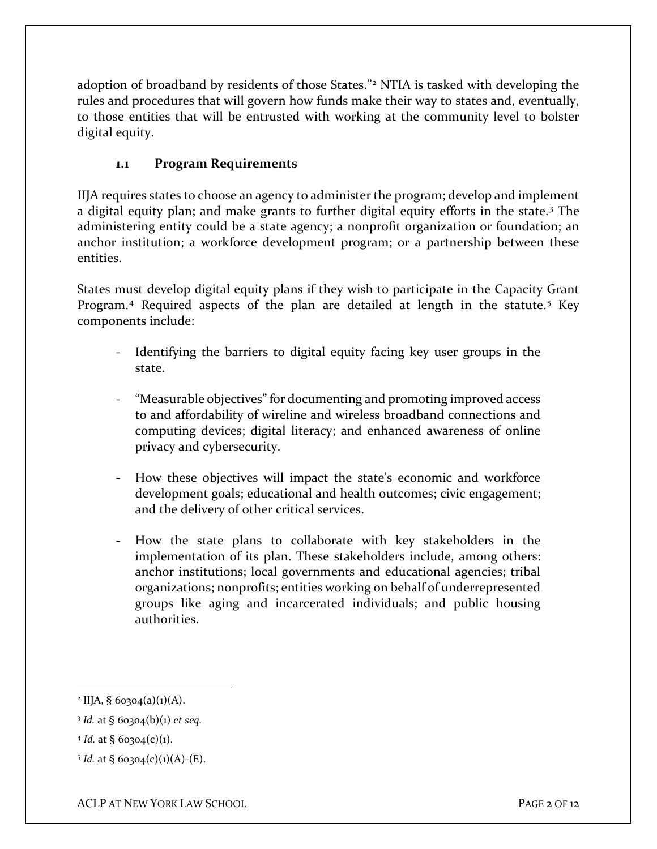adoption of broadband by residents of those States."<sup>[2](#page-2-0)</sup> NTIA is tasked with developing the rules and procedures that will govern how funds make their way to states and, eventually, to those entities that will be entrusted with working at the community level to bolster digital equity.

# **1.1 Program Requirements**

IIJA requires states to choose an agency to administer the program; develop and implement a digital equity plan; and make grants to further digital equity efforts in the state.<sup>[3](#page-2-1)</sup> The administering entity could be a state agency; a nonprofit organization or foundation; an anchor institution; a workforce development program; or a partnership between these entities.

States must develop digital equity plans if they wish to participate in the Capacity Grant Program.<sup>[4](#page-2-2)</sup> Required aspects of the plan are detailed at length in the statute.<sup>[5](#page-2-3)</sup> Key components include:

- Identifying the barriers to digital equity facing key user groups in the state.
- "Measurable objectives" for documenting and promoting improved access to and affordability of wireline and wireless broadband connections and computing devices; digital literacy; and enhanced awareness of online privacy and cybersecurity.
- How these objectives will impact the state's economic and workforce development goals; educational and health outcomes; civic engagement; and the delivery of other critical services.
- How the state plans to collaborate with key stakeholders in the implementation of its plan. These stakeholders include, among others: anchor institutions; local governments and educational agencies; tribal organizations; nonprofits; entities working on behalf of underrepresented groups like aging and incarcerated individuals; and public housing authorities.

<span id="page-2-0"></span> $2$  IIJA, § 60304(a)(1)(A).

<span id="page-2-1"></span><sup>3</sup> *Id.* at § 60304(b)(1) *et seq.*

<span id="page-2-2"></span> $4$  *Id.* at § 60304(c)(1).

<span id="page-2-3"></span> $5$  *Id.* at § 60304(c)(1)(A)-(E).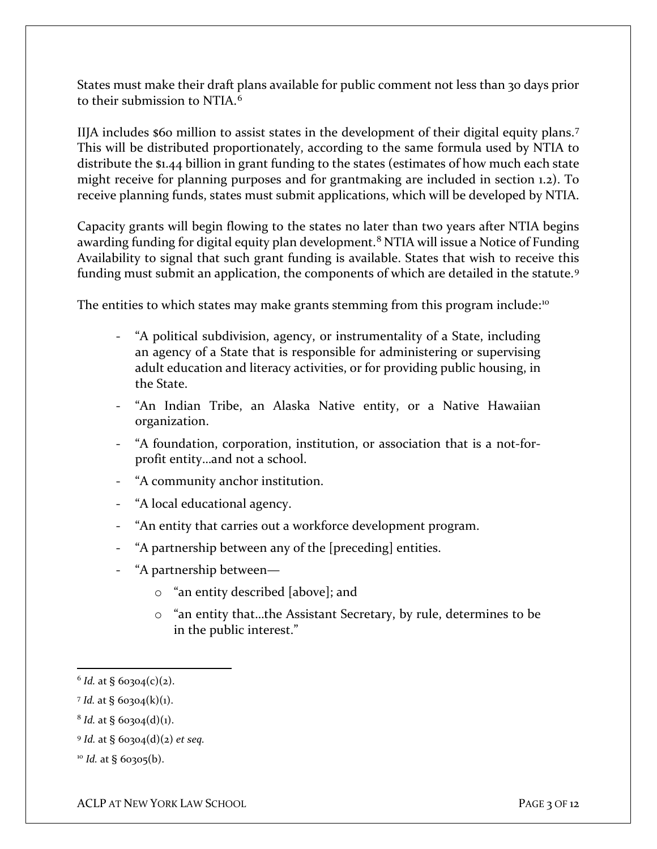States must make their draft plans available for public comment not less than 30 days prior to their submission to NTIA.<sup>[6](#page-3-0)</sup>

IIJA includes \$60 million to assist states in the development of their digital equity plans.[7](#page-3-1) This will be distributed proportionately, according to the same formula used by NTIA to distribute the \$1.44 billion in grant funding to the states (estimates of how much each state might receive for planning purposes and for grantmaking are included in section 1.2). To receive planning funds, states must submit applications, which will be developed by NTIA.

Capacity grants will begin flowing to the states no later than two years after NTIA begins awarding funding for digital equity plan development.[8](#page-3-2) NTIA will issue a Notice of Funding Availability to signal that such grant funding is available. States that wish to receive this funding must submit an application, the components of which are detailed in the statute.<sup>[9](#page-3-3)</sup>

The entities to which states may make grants stemming from this program include:<sup>[10](#page-3-4)</sup>

- "A political subdivision, agency, or instrumentality of a State, including an agency of a State that is responsible for administering or supervising adult education and literacy activities, or for providing public housing, in the State.
- "An Indian Tribe, an Alaska Native entity, or a Native Hawaiian organization.
- "A foundation, corporation, institution, or association that is a not-forprofit entity…and not a school.
- "A community anchor institution.
- "A local educational agency.
- "An entity that carries out a workforce development program.
- "A partnership between any of the [preceding] entities.
- "A partnership between
	- o "an entity described [above]; and
	- o "an entity that…the Assistant Secretary, by rule, determines to be in the public interest."

<span id="page-3-0"></span> $6$  *Id.* at § 60304(c)(2).

<span id="page-3-1"></span> $7$  *Id.* at § 60304(k)(1).

<span id="page-3-2"></span> $8$  *Id.* at § 60304(d)(1).

<span id="page-3-3"></span><sup>9</sup> *Id.* at § 60304(d)(2) *et seq.*

<span id="page-3-4"></span><sup>10</sup> *Id.* at § 60305(b).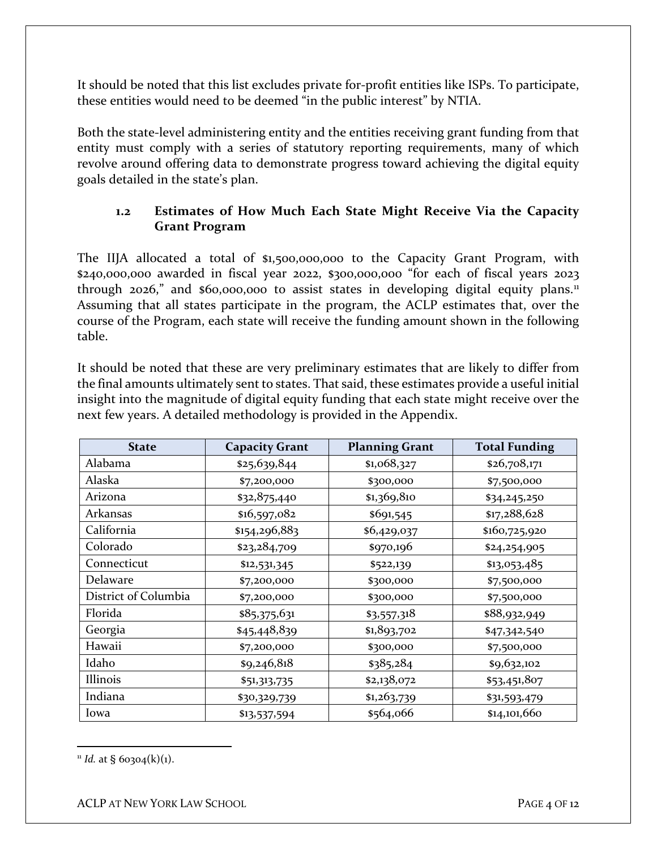It should be noted that this list excludes private for-profit entities like ISPs. To participate, these entities would need to be deemed "in the public interest" by NTIA.

Both the state-level administering entity and the entities receiving grant funding from that entity must comply with a series of statutory reporting requirements, many of which revolve around offering data to demonstrate progress toward achieving the digital equity goals detailed in the state's plan.

# **1.2 Estimates of How Much Each State Might Receive Via the Capacity Grant Program**

The IIJA allocated a total of \$1,500,000,000 to the Capacity Grant Program, with \$240,000,000 awarded in fiscal year 2022, \$300,000,000 "for each of fiscal years 2023 through 2026," and \$60,000,000 to assist states in developing digital equity plans.<sup>[11](#page-4-0)</sup> Assuming that all states participate in the program, the ACLP estimates that, over the course of the Program, each state will receive the funding amount shown in the following table.

It should be noted that these are very preliminary estimates that are likely to differ from the final amounts ultimately sent to states. That said, these estimates provide a useful initial insight into the magnitude of digital equity funding that each state might receive over the next few years. A detailed methodology is provided in the Appendix.

| <b>State</b>         | <b>Capacity Grant</b><br><b>Planning Grant</b> |             | <b>Total Funding</b> |
|----------------------|------------------------------------------------|-------------|----------------------|
| Alabama              | \$25,639,844                                   | \$1,068,327 | \$26,708,171         |
| Alaska               | \$7,200,000                                    | \$300,000   | \$7,500,000          |
| Arizona              | \$32,875,440                                   | \$1,369,810 | \$34,245,250         |
| Arkansas             | \$16,597,082                                   | \$691,545   | \$17,288,628         |
| California           | \$154,296,883                                  | \$6,429,037 | \$160,725,920        |
| Colorado             | \$23,284,709                                   | \$970,196   | \$24,254,905         |
| Connecticut          | \$12,531,345                                   | \$522,139   | \$13,053,485         |
| Delaware             | \$7,200,000                                    | \$300,000   | \$7,500,000          |
| District of Columbia | \$7,200,000                                    | \$300,000   | \$7,500,000          |
| Florida              | \$85,375,631                                   | \$3,557,318 | \$88,932,949         |
| Georgia              | \$45,448,839                                   | \$1,893,702 | \$47,342,540         |
| Hawaii               | \$7,200,000                                    | \$300,000   | \$7,500,000          |
| Idaho                | \$9,246,818                                    | \$385,284   | \$9,632,102          |
| Illinois             | \$51,313,735                                   | \$2,138,072 | \$53,451,807         |
| Indiana              | \$30,329,739                                   | \$1,263,739 | \$31,593,479         |
| Iowa                 | \$13,537,594                                   | \$564,066   | \$14,101,660         |

<span id="page-4-0"></span> $\mu$  *Id.* at § 60304(k)(1).

ACLP AT NEW YORK LAW SCHOOL PAGE 4 OF 12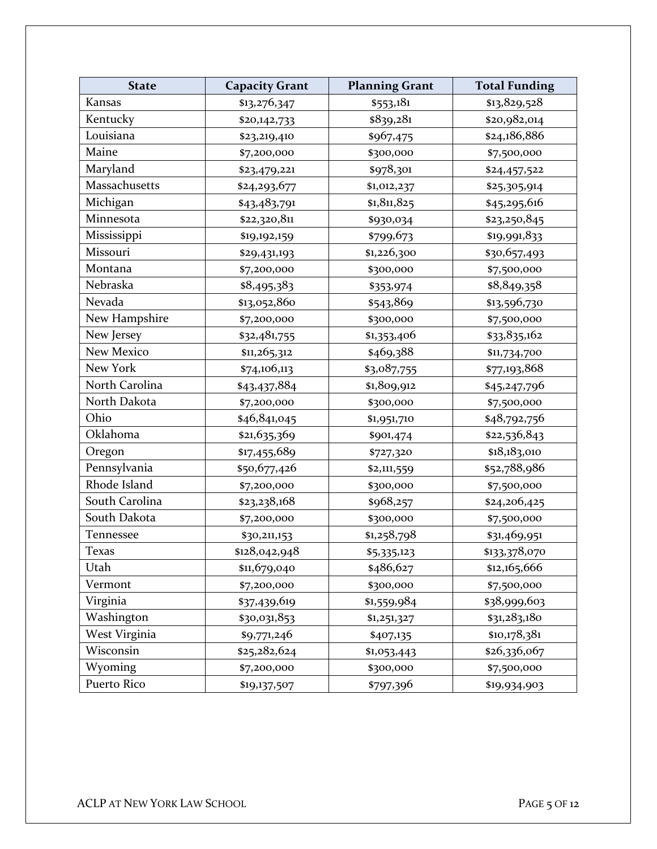| <b>State</b>   | <b>Capacity Grant</b><br><b>Planning Grant</b> |             | <b>Total Funding</b> |  |
|----------------|------------------------------------------------|-------------|----------------------|--|
| Kansas         | \$13,276,347                                   | \$553,181   | \$13,829,528         |  |
| Kentucky       | \$20,142,733                                   | \$839,281   | \$20,982,014         |  |
| Louisiana      | \$23,219,410                                   | \$967,475   | \$24,186,886         |  |
| Maine          | \$7,200,000                                    | \$300,000   | \$7,500,000          |  |
| Maryland       | \$23,479,221                                   | \$978,301   | \$24,457,522         |  |
| Massachusetts  | \$24,293,677                                   | \$1,012,237 | \$25,305,914         |  |
| Michigan       | \$43,483,791                                   | \$1,811,825 | \$45,295,616         |  |
| Minnesota      | \$22,320,811                                   | \$930,034   | \$23,250,845         |  |
| Mississippi    | \$19,192,159                                   | \$799,673   | \$19,991,833         |  |
| Missouri       | \$29,431,193                                   | \$1,226,300 | \$30,657,493         |  |
| Montana        | \$7,200,000                                    | \$300,000   | \$7,500,000          |  |
| Nebraska       | \$8,495,383                                    | \$353,974   | \$8,849,358          |  |
| Nevada         | \$13,052,860                                   | \$543,869   | \$13,596,730         |  |
| New Hampshire  | \$7,200,000                                    | \$300,000   | \$7,500,000          |  |
| New Jersey     | \$32,481,755                                   | \$1,353,406 | \$33,835,162         |  |
| New Mexico     | \$11,265,312                                   | \$469,388   | \$11,734,700         |  |
| New York       | \$74,106,113                                   | \$3,087,755 | \$77,193,868         |  |
| North Carolina | \$43,437,884                                   | \$1,809,912 | \$45,247,796         |  |
| North Dakota   | \$7,200,000                                    | \$300,000   | \$7,500,000          |  |
| Ohio           | \$46,841,045                                   | \$1,951,710 | \$48,792,756         |  |
| Oklahoma       | \$21,635,369                                   | \$901,474   | \$22,536,843         |  |
| Oregon         | \$17,455,689                                   | \$727,320   | \$18,183,010         |  |
| Pennsylvania   | \$50,677,426                                   | \$2,111,559 | \$52,788,986         |  |
| Rhode Island   | \$7,200,000                                    | \$300,000   | \$7,500,000          |  |
| South Carolina | \$23,238,168                                   | \$968,257   | \$24,206,425         |  |
| South Dakota   | \$7,200,000                                    | \$300,000   | \$7,500,000          |  |
| Tennessee      | \$30,211,153                                   | \$1,258,798 | \$31,469,951         |  |
| <b>Texas</b>   | \$128,042,948                                  | \$5,335,123 | \$133,378,070        |  |
| Utah           | \$11,679,040                                   | \$486,627   | \$12,165,666         |  |
| Vermont        | \$7,200,000                                    | \$300,000   | \$7,500,000          |  |
| Virginia       | \$37,439,619                                   | \$1,559,984 | \$38,999,603         |  |
| Washington     | \$30,031,853                                   | \$1,251,327 | \$31,283,180         |  |
| West Virginia  | \$9,771,246<br>\$407,135                       |             | \$10,178,381         |  |
| Wisconsin      | \$25,282,624<br>\$1,053,443                    |             | \$26,336,067         |  |
| Wyoming        | \$7,200,000                                    | \$300,000   | \$7,500,000          |  |
| Puerto Rico    | \$19,137,507                                   | \$797,396   | \$19,934,903         |  |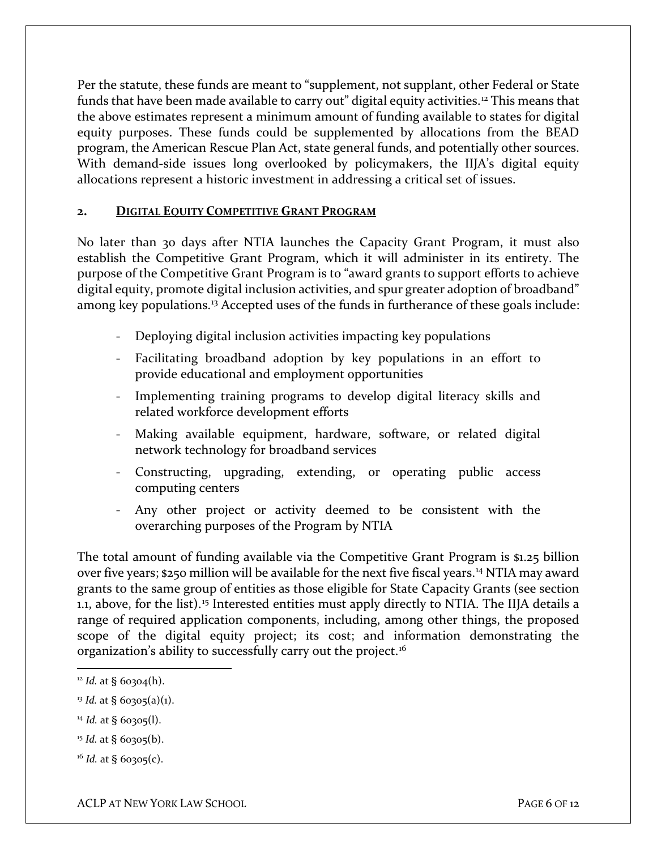Per the statute, these funds are meant to "supplement, not supplant, other Federal or State funds that have been made available to carry out" digital equity activities.<sup>[12](#page-6-0)</sup> This means that the above estimates represent a minimum amount of funding available to states for digital equity purposes. These funds could be supplemented by allocations from the BEAD program, the American Rescue Plan Act, state general funds, and potentially other sources. With demand-side issues long overlooked by policymakers, the IIJA's digital equity allocations represent a historic investment in addressing a critical set of issues.

#### **2. DIGITAL EQUITY COMPETITIVE GRANT PROGRAM**

No later than 30 days after NTIA launches the Capacity Grant Program, it must also establish the Competitive Grant Program, which it will administer in its entirety. The purpose of the Competitive Grant Program is to "award grants to support efforts to achieve digital equity, promote digital inclusion activities, and spur greater adoption of broadband" among key populations.<sup>[13](#page-6-1)</sup> Accepted uses of the funds in furtherance of these goals include:

- Deploying digital inclusion activities impacting key populations
- Facilitating broadband adoption by key populations in an effort to provide educational and employment opportunities
- Implementing training programs to develop digital literacy skills and related workforce development efforts
- Making available equipment, hardware, software, or related digital network technology for broadband services
- Constructing, upgrading, extending, or operating public access computing centers
- Any other project or activity deemed to be consistent with the overarching purposes of the Program by NTIA

The total amount of funding available via the Competitive Grant Program is \$1.25 billion over five years; \$250 million will be available for the next five fiscal years. [14](#page-6-2) NTIA may award grants to the same group of entities as those eligible for State Capacity Grants (see section 1.1, above, for the list). [15](#page-6-3) Interested entities must apply directly to NTIA. The IIJA details a range of required application components, including, among other things, the proposed scope of the digital equity project; its cost; and information demonstrating the organization's ability to successfully carry out the project.<sup>[16](#page-6-4)</sup>

<span id="page-6-2"></span><sup>14</sup> *Id.* at § 60305(l).

<span id="page-6-0"></span><sup>12</sup> *Id.* at § 60304(h).

<span id="page-6-1"></span><sup>&</sup>lt;sup>13</sup> *Id.* at § 60305(a)(1).

<span id="page-6-3"></span><sup>15</sup> *Id.* at § 60305(b).

<span id="page-6-4"></span><sup>16</sup> *Id.* at § 60305(c).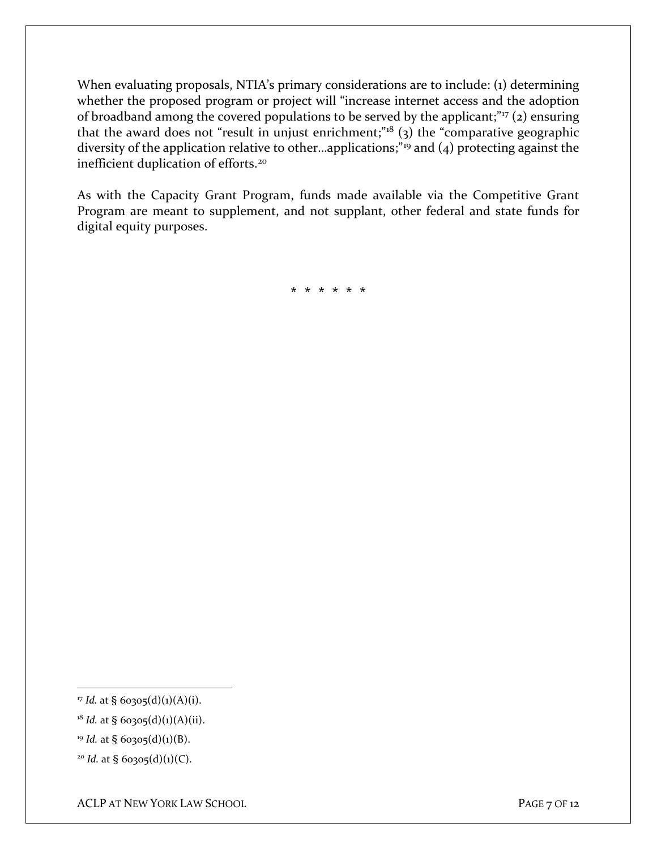When evaluating proposals, NTIA's primary considerations are to include: (1) determining whether the proposed program or project will "increase internet access and the adoption of broadband among the covered populations to be served by the applicant;" $\frac{1}{7}$  (2) ensuring that the award does not "result in unjust enrichment;" $18$  (3) the "comparative geographic diversity of the application relative to other...applications;"<sup>[19](#page-7-2)</sup> and (4) protecting against the inefficient duplication of efforts.<sup>[20](#page-7-3)</sup>

As with the Capacity Grant Program, funds made available via the Competitive Grant Program are meant to supplement, and not supplant, other federal and state funds for digital equity purposes.

**\* \* \* \* \* \***

ACLP AT NEW YORK LAW SCHOOL **PAGE 7 OF 12** 

<span id="page-7-0"></span><sup>17</sup> *Id.* at § 60305(d)(1)(A)(i).

<span id="page-7-1"></span> $18$  *Id.* at § 60305(d)(1)(A)(ii).

<span id="page-7-2"></span><sup>19</sup> *Id.* at § 60305(d)(1)(B).

<span id="page-7-3"></span><sup>20</sup> *Id.* at § 60305(d)(1)(C).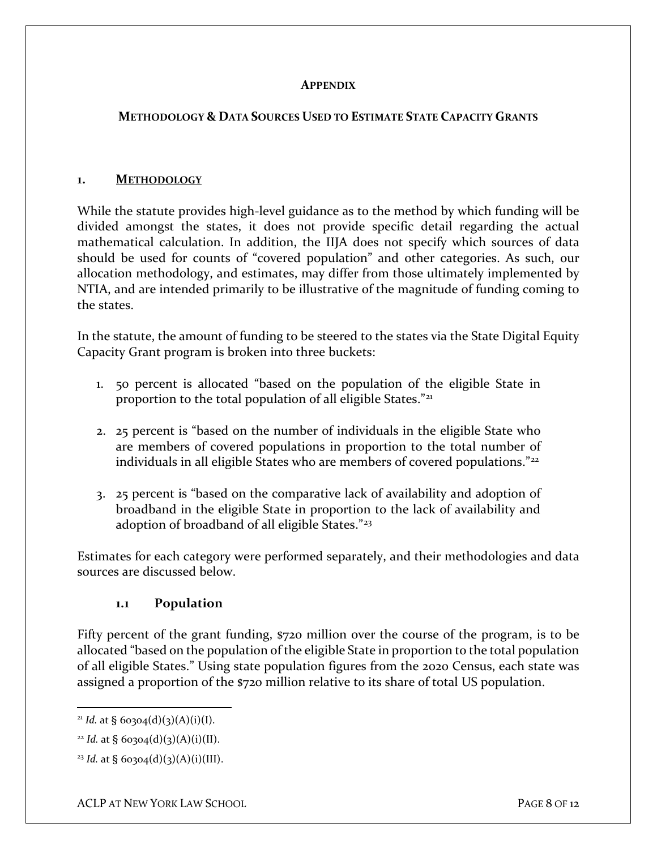#### **APPENDIX**

## **METHODOLOGY & DATA SOURCES USED TO ESTIMATE STATE CAPACITY GRANTS**

#### **1. METHODOLOGY**

While the statute provides high-level guidance as to the method by which funding will be divided amongst the states, it does not provide specific detail regarding the actual mathematical calculation. In addition, the IIJA does not specify which sources of data should be used for counts of "covered population" and other categories. As such, our allocation methodology, and estimates, may differ from those ultimately implemented by NTIA, and are intended primarily to be illustrative of the magnitude of funding coming to the states.

In the statute, the amount of funding to be steered to the states via the State Digital Equity Capacity Grant program is broken into three buckets:

- 1. 50 percent is allocated "based on the population of the eligible State in proportion to the total population of all eligible States."<sup>[21](#page-8-0)</sup>
- 2. 25 percent is "based on the number of individuals in the eligible State who are members of covered populations in proportion to the total number of individuals in all eligible States who are members of covered populations."<sup>[22](#page-8-1)</sup>
- 3. 25 percent is "based on the comparative lack of availability and adoption of broadband in the eligible State in proportion to the lack of availability and adoption of broadband of all eligible States."<sup>[23](#page-8-2)</sup>

Estimates for each category were performed separately, and their methodologies and data sources are discussed below.

#### **1.1 Population**

Fifty percent of the grant funding, \$720 million over the course of the program, is to be allocated "based on the population of the eligible State in proportion to the total population of all eligible States." Using state population figures from the 2020 Census, each state was assigned a proportion of the \$720 million relative to its share of total US population.

<span id="page-8-0"></span><sup>&</sup>lt;sup>21</sup> *Id.* at § 60304(d)(3)(A)(i)(I).

<span id="page-8-1"></span><sup>&</sup>lt;sup>22</sup> *Id.* at § 60304(d)(3)(A)(i)(II).

<span id="page-8-2"></span><sup>&</sup>lt;sup>23</sup> *Id.* at § 60304(d)(3)(A)(i)(III).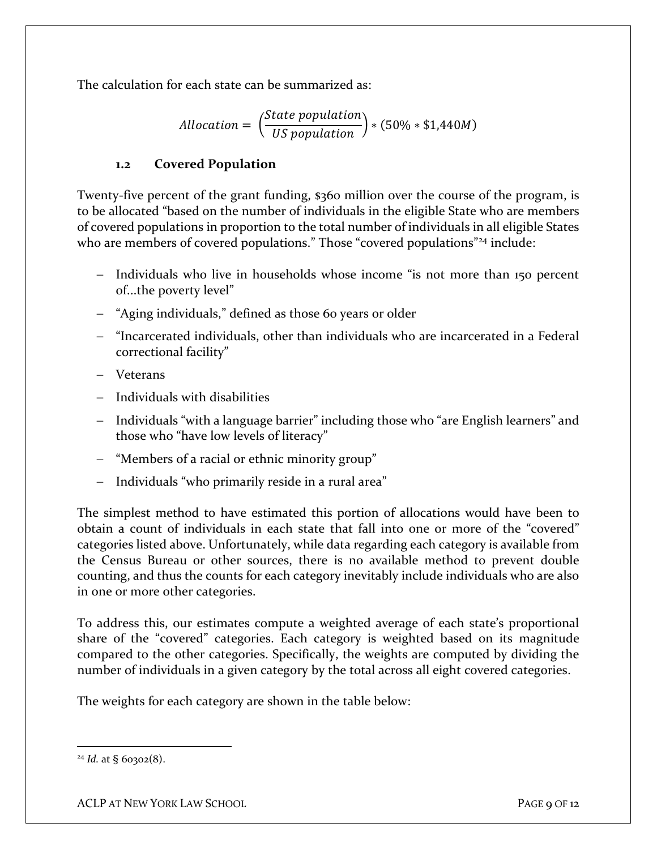The calculation for each state can be summarized as:

$$
Allocation = \left(\frac{State\ population}{US\ population}\right) * (50\% * \$1,440M)
$$

# **1.2 Covered Population**

Twenty-five percent of the grant funding, \$360 million over the course of the program, is to be allocated "based on the number of individuals in the eligible State who are members of covered populations in proportion to the total number of individuals in all eligible States who are members of covered populations." Those "covered populations"<sup>[24](#page-9-0)</sup> include:

- − Individuals who live in households whose income "is not more than 150 percent of...the poverty level"
- − "Aging individuals," defined as those 60 years or older
- − "Incarcerated individuals, other than individuals who are incarcerated in a Federal correctional facility"
- − Veterans
- − Individuals with disabilities
- − Individuals "with a language barrier" including those who "are English learners" and those who "have low levels of literacy"
- − "Members of a racial or ethnic minority group"
- − Individuals "who primarily reside in a rural area"

The simplest method to have estimated this portion of allocations would have been to obtain a count of individuals in each state that fall into one or more of the "covered" categories listed above. Unfortunately, while data regarding each category is available from the Census Bureau or other sources, there is no available method to prevent double counting, and thus the counts for each category inevitably include individuals who are also in one or more other categories.

To address this, our estimates compute a weighted average of each state's proportional share of the "covered" categories. Each category is weighted based on its magnitude compared to the other categories. Specifically, the weights are computed by dividing the number of individuals in a given category by the total across all eight covered categories.

The weights for each category are shown in the table below:

ACLP AT NEW YORK LAW SCHOOL PAGE 9 OF 12

<span id="page-9-0"></span><sup>24</sup> *Id.* at § 60302(8).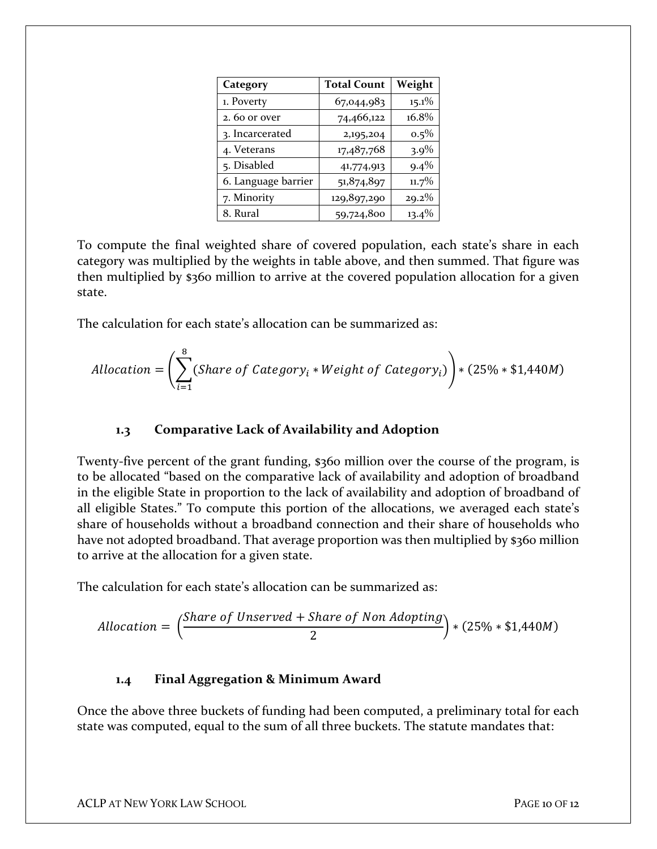| Category            | <b>Total Count</b> | Weight   |
|---------------------|--------------------|----------|
| 1. Poverty          | 67,044,983         | $15.1\%$ |
| 2. 60 or over       | 74,466,122         | 16.8%    |
| 3. Incarcerated     | 2,195,204          | $0.5\%$  |
| 4. Veterans         | 17,487,768         | $3.9\%$  |
| 5. Disabled         | 41,774,913         | $9.4\%$  |
| 6. Language barrier | 51,874,897         | $11.7\%$ |
| 7. Minority         | 129,897,290        | $29.2\%$ |
| 8. Rural            | 59,724,800         | $13.4\%$ |

To compute the final weighted share of covered population, each state's share in each category was multiplied by the weights in table above, and then summed. That figure was then multiplied by \$360 million to arrive at the covered population allocation for a given state.

The calculation for each state's allocation can be summarized as:

$$
Allocation = \left(\sum_{i=1}^{8} (Share\ of\ Category_i * Weight\ of\ Category_i)\right) * (25\% * $1,440M)
$$

## **1.3 Comparative Lack of Availability and Adoption**

Twenty-five percent of the grant funding, \$360 million over the course of the program, is to be allocated "based on the comparative lack of availability and adoption of broadband in the eligible State in proportion to the lack of availability and adoption of broadband of all eligible States." To compute this portion of the allocations, we averaged each state's share of households without a broadband connection and their share of households who have not adopted broadband. That average proportion was then multiplied by \$360 million to arrive at the allocation for a given state.

The calculation for each state's allocation can be summarized as:

$$
Allocation = \left(\frac{Share\ of\ Unserved +Share\ of\ Non\ Adopting}{2}\right) * (25\% * $1,440M)
$$

#### **1.4 Final Aggregation & Minimum Award**

Once the above three buckets of funding had been computed, a preliminary total for each state was computed, equal to the sum of all three buckets. The statute mandates that: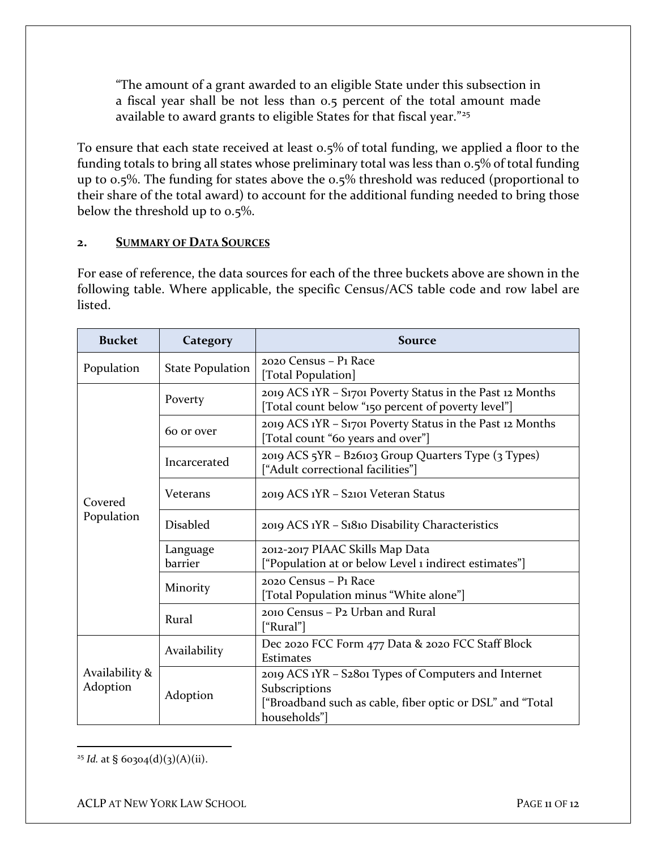"The amount of a grant awarded to an eligible State under this subsection in a fiscal year shall be not less than 0.5 percent of the total amount made available to award grants to eligible States for that fiscal year."<sup>[25](#page-11-0)</sup>

To ensure that each state received at least 0.5% of total funding, we applied a floor to the funding totals to bring all states whose preliminary total was less than 0.5% of total funding up to 0.5%. The funding for states above the 0.5% threshold was reduced (proportional to their share of the total award) to account for the additional funding needed to bring those below the threshold up to 0.5%.

# **2. SUMMARY OF DATA SOURCES**

For ease of reference, the data sources for each of the three buckets above are shown in the following table. Where applicable, the specific Census/ACS table code and row label are listed.

| <b>Bucket</b>              | Category                | Source                                                                                                                                             |  |
|----------------------------|-------------------------|----------------------------------------------------------------------------------------------------------------------------------------------------|--|
| Population                 | <b>State Population</b> | 2020 Census - P1 Race<br>[Total Population]                                                                                                        |  |
| Covered<br>Population      | Poverty                 | 2019 ACS 1YR - S1701 Poverty Status in the Past 12 Months<br>[Total count below "150 percent of poverty level"]                                    |  |
|                            | 60 or over              | 2019 ACS 1YR - S1701 Poverty Status in the Past 12 Months<br>[Total count "60 years and over"]                                                     |  |
|                            | Incarcerated            | 2019 ACS 5YR - B26103 Group Quarters Type (3 Types)<br>["Adult correctional facilities"]                                                           |  |
|                            | Veterans                | 2019 ACS 1YR - S2101 Veteran Status                                                                                                                |  |
|                            | <b>Disabled</b>         | 2019 ACS 1YR - S1810 Disability Characteristics                                                                                                    |  |
|                            | Language<br>barrier     | 2012-2017 PIAAC Skills Map Data<br>["Population at or below Level 1 indirect estimates"]                                                           |  |
|                            | Minority                | 2020 Census - P1 Race<br>[Total Population minus "White alone"]                                                                                    |  |
|                            | Rural                   | 2010 Census - P2 Urban and Rural<br>["Rural"]                                                                                                      |  |
| Availability &<br>Adoption | Availability            | Dec 2020 FCC Form 477 Data & 2020 FCC Staff Block<br>Estimates                                                                                     |  |
|                            | Adoption                | 2019 ACS 1YR - S2801 Types of Computers and Internet<br>Subscriptions<br>["Broadband such as cable, fiber optic or DSL" and "Total<br>households"] |  |

<span id="page-11-0"></span><sup>25</sup> *Id.* at § 60304(d)(3)(A)(ii).

ACLP AT NEW YORK LAW SCHOOL **PAGE 11 OF 12**